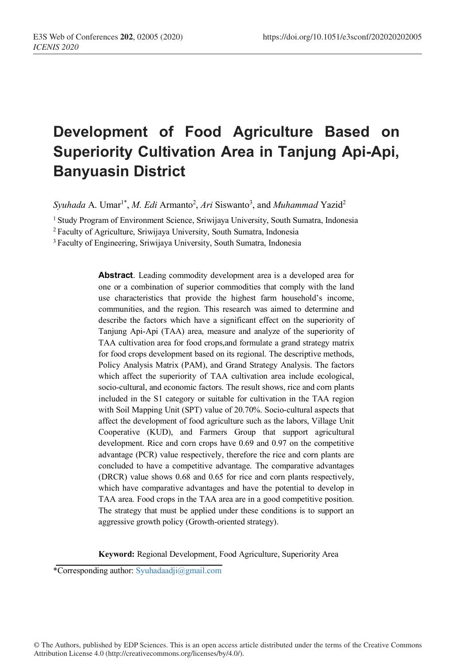# **Development of Food Agriculture Based on Superiority Cultivation Area in Tanjung Api-Api, Banyuasin District**

Syuhada A. Umar<sup>1\*</sup>, *M. Edi* Armanto<sup>2</sup>, *Ari* Siswanto<sup>3</sup>, and *Muhammad* Yazid<sup>2</sup>

1 Study Program of Environment Science, Sriwijaya University, South Sumatra, Indonesia

2 Faculty of Agriculture, Sriwijaya University, South Sumatra, Indonesia

3 Faculty of Engineering, Sriwijaya University, South Sumatra, Indonesia

**Abstract**. Leading commodity development area is a developed area for one or a combination of superior commodities that comply with the land use characteristics that provide the highest farm household's income, communities, and the region. This research was aimed to determine and describe the factors which have a significant effect on the superiority of Tanjung Api-Api (TAA) area, measure and analyze of the superiority of TAA cultivation area for food crops,and formulate a grand strategy matrix for food crops development based on its regional. The descriptive methods, Policy Analysis Matrix (PAM), and Grand Strategy Analysis. The factors which affect the superiority of TAA cultivation area include ecological, socio-cultural, and economic factors. The result shows, rice and corn plants included in the S1 category or suitable for cultivation in the TAA region with Soil Mapping Unit (SPT) value of 20.70%. Socio-cultural aspects that affect the development of food agriculture such as the labors, Village Unit Cooperative (KUD), and Farmers Group that support agricultural development. Rice and corn crops have 0.69 and 0.97 on the competitive advantage (PCR) value respectively, therefore the rice and corn plants are concluded to have a competitive advantage. The comparative advantages (DRCR) value shows 0.68 and 0.65 for rice and corn plants respectively, which have comparative advantages and have the potential to develop in TAA area. Food crops in the TAA area are in a good competitive position. The strategy that must be applied under these conditions is to support an aggressive growth policy (Growth-oriented strategy).

**Keyword:** Regional Development, Food Agriculture, Superiority Area

<sup>\*</sup>Corresponding author: Syuhadaadji@gmail.com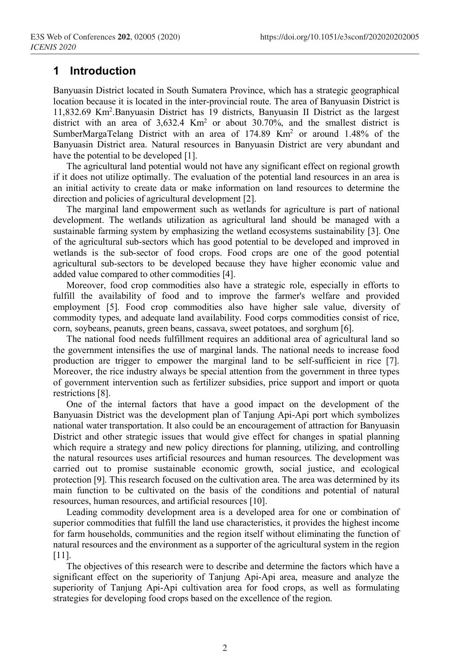# **1 Introduction**

Banyuasin District located in South Sumatera Province, which has a strategic geographical location because it is located in the inter-provincial route. The area of Banyuasin District is 11,832.69 Km2 .Banyuasin District has 19 districts, Banyuasin II District as the largest district with an area of  $3,632.4$  Km<sup>2</sup> or about  $30.70\%$ , and the smallest district is SumberMargaTelang District with an area of 174.89 Km<sup>2</sup> or around 1.48% of the Banyuasin District area. Natural resources in Banyuasin District are very abundant and have the potential to be developed [1].

The agricultural land potential would not have any significant effect on regional growth if it does not utilize optimally. The evaluation of the potential land resources in an area is an initial activity to create data or make information on land resources to determine the direction and policies of agricultural development [2].

The marginal land empowerment such as wetlands for agriculture is part of national development. The wetlands utilization as agricultural land should be managed with a sustainable farming system by emphasizing the wetland ecosystems sustainability [3]. One of the agricultural sub-sectors which has good potential to be developed and improved in wetlands is the sub-sector of food crops. Food crops are one of the good potential agricultural sub-sectors to be developed because they have higher economic value and added value compared to other commodities [4].

Moreover, food crop commodities also have a strategic role, especially in efforts to fulfill the availability of food and to improve the farmer's welfare and provided employment [5]. Food crop commodities also have higher sale value, diversity of commodity types, and adequate land availability. Food corps commodities consist of rice, corn, soybeans, peanuts, green beans, cassava, sweet potatoes, and sorghum [6].

The national food needs fulfillment requires an additional area of agricultural land so the government intensifies the use of marginal lands. The national needs to increase food production are trigger to empower the marginal land to be self-sufficient in rice [7]. Moreover, the rice industry always be special attention from the government in three types of government intervention such as fertilizer subsidies, price support and import or quota restrictions [8].

One of the internal factors that have a good impact on the development of the Banyuasin District was the development plan of Tanjung Api-Api port which symbolizes national water transportation. It also could be an encouragement of attraction for Banyuasin District and other strategic issues that would give effect for changes in spatial planning which require a strategy and new policy directions for planning, utilizing, and controlling the natural resources uses artificial resources and human resources. The development was carried out to promise sustainable economic growth, social justice, and ecological protection [9]. This research focused on the cultivation area. The area was determined by its main function to be cultivated on the basis of the conditions and potential of natural resources, human resources, and artificial resources [10].

Leading commodity development area is a developed area for one or combination of superior commodities that fulfill the land use characteristics, it provides the highest income for farm households, communities and the region itself without eliminating the function of natural resources and the environment as a supporter of the agricultural system in the region [11].

The objectives of this research were to describe and determine the factors which have a significant effect on the superiority of Tanjung Api-Api area, measure and analyze the superiority of Tanjung Api-Api cultivation area for food crops, as well as formulating strategies for developing food crops based on the excellence of the region.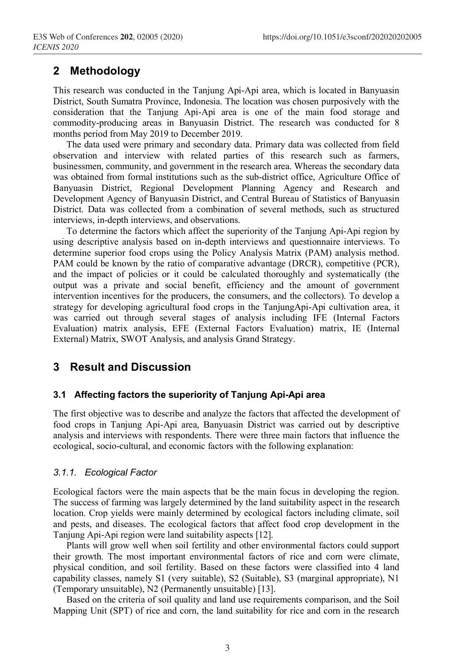# **2 Methodology**

This research was conducted in the Tanjung Api-Api area, which is located in Banyuasin District, South Sumatra Province, Indonesia. The location was chosen purposively with the consideration that the Tanjung Api-Api area is one of the main food storage and commodity-producing areas in Banyuasin District. The research was conducted for 8 months period from May 2019 to December 2019.

The data used were primary and secondary data. Primary data was collected from field observation and interview with related parties of this research such as farmers, businessmen, community, and government in the research area. Whereas the secondary data was obtained from formal institutions such as the sub-district office, Agriculture Office of Banyuasin District, Regional Development Planning Agency and Research and Development Agency of Banyuasin District, and Central Bureau of Statistics of Banyuasin District. Data was collected from a combination of several methods, such as structured interviews, in-depth interviews, and observations.

To determine the factors which affect the superiority of the Tanjung Api-Api region by using descriptive analysis based on in-depth interviews and questionnaire interviews. To determine superior food crops using the Policy Analysis Matrix (PAM) analysis method. PAM could be known by the ratio of comparative advantage (DRCR), competitive (PCR), and the impact of policies or it could be calculated thoroughly and systematically (the output was a private and social benefit, efficiency and the amount of government intervention incentives for the producers, the consumers, and the collectors). To develop a strategy for developing agricultural food crops in the TanjungApi-Api cultivation area, it was carried out through several stages of analysis including IFE (Internal Factors Evaluation) matrix analysis, EFE (External Factors Evaluation) matrix, IE (Internal External) Matrix, SWOT Analysis, and analysis Grand Strategy.

# **3 Result and Discussion**

## **3.1 Affecting factors the superiority of Tanjung Api-Api area**

The first objective was to describe and analyze the factors that affected the development of food crops in Tanjung Api-Api area, Banyuasin District was carried out by descriptive analysis and interviews with respondents. There were three main factors that influence the ecological, socio-cultural, and economic factors with the following explanation:

## *3.1.1. Ecological Factor*

Ecological factors were the main aspects that be the main focus in developing the region. The success of farming was largely determined by the land suitability aspect in the research location. Crop yields were mainly determined by ecological factors including climate, soil and pests, and diseases. The ecological factors that affect food crop development in the Tanjung Api-Api region were land suitability aspects [12].

Plants will grow well when soil fertility and other environmental factors could support their growth. The most important environmental factors of rice and corn were climate, physical condition, and soil fertility. Based on these factors were classified into 4 land capability classes, namely S1 (very suitable), S2 (Suitable), S3 (marginal appropriate), N1 (Temporary unsuitable), N2 (Permanently unsuitable) [13].

Based on the criteria of soil quality and land use requirements comparison, and the Soil Mapping Unit (SPT) of rice and corn, the land suitability for rice and corn in the research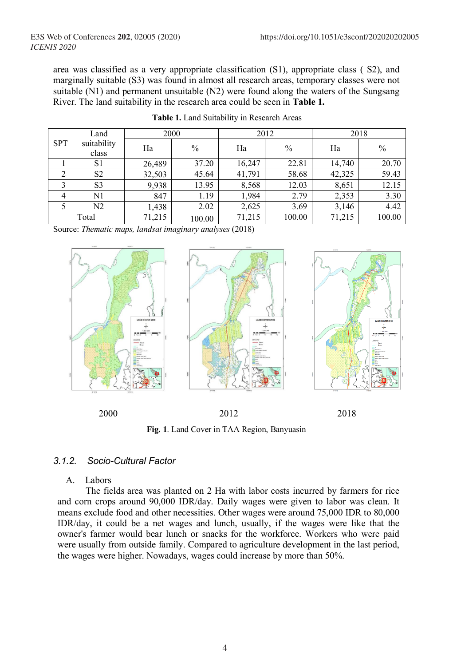area was classified as a very appropriate classification (S1), appropriate class ( S2), and marginally suitable (S3) was found in almost all research areas, temporary classes were not suitable (N1) and permanent unsuitable (N2) were found along the waters of the Sungsang River. The land suitability in the research area could be seen in **Table 1.**

|                | Land                 |        | 2000          | 2012   |               | 2018   |               |
|----------------|----------------------|--------|---------------|--------|---------------|--------|---------------|
| <b>SPT</b>     | suitability<br>class | Ha     | $\frac{0}{0}$ | Ha     | $\frac{0}{0}$ | Ha     | $\frac{0}{0}$ |
|                | S1                   | 26,489 | 37.20         | 16,247 | 22.81         | 14,740 | 20.70         |
| 2              | S <sub>2</sub>       | 32,503 | 45.64         | 41,791 | 58.68         | 42,325 | 59.43         |
| 3              | S <sub>3</sub>       | 9,938  | 13.95         | 8,568  | 12.03         | 8,651  | 12.15         |
| $\overline{4}$ | N1                   | 847    | 1.19          | 1,984  | 2.79          | 2,353  | 3.30          |
|                | N2                   | 1,438  | 2.02          | 2,625  | 3.69          | 3,146  | 4.42          |
|                | Total                | 71,215 | 100.00        | 71,215 | 100.00        | 71,215 | 100.00        |

**Table 1.** Land Suitability in Research Areas

Source: *Thematic maps, landsat imaginary analyses* (2018)



2000 2012 2018 **Fig. 1**. Land Cover in TAA Region, Banyuasin

# *3.1.2. Socio-Cultural Factor*

#### A. Labors

The fields area was planted on 2 Ha with labor costs incurred by farmers for rice and corn crops around 90,000 IDR/day. Daily wages were given to labor was clean. It means exclude food and other necessities. Other wages were around 75,000 IDR to 80,000 IDR/day, it could be a net wages and lunch, usually, if the wages were like that the owner's farmer would bear lunch or snacks for the workforce. Workers who were paid were usually from outside family. Compared to agriculture development in the last period, the wages were higher. Nowadays, wages could increase by more than 50%.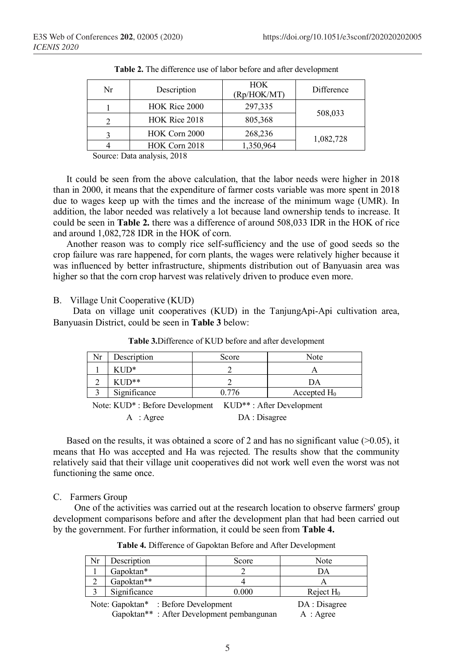| Nr | Description   | <b>HOK</b><br>(Rp/HOK/MT) | Difference |
|----|---------------|---------------------------|------------|
|    | HOK Rice 2000 | 297,335                   |            |
|    | HOK Rice 2018 | 805,368                   | 508,033    |
|    | HOK Corn 2000 | 268,236                   | 1,082,728  |
|    | HOK Corn 2018 | 1,350,964                 |            |

|  | Table 2. The difference use of labor before and after development |
|--|-------------------------------------------------------------------|
|--|-------------------------------------------------------------------|

Source: Data analysis, 2018

It could be seen from the above calculation, that the labor needs were higher in 2018 than in 2000, it means that the expenditure of farmer costs variable was more spent in 2018 due to wages keep up with the times and the increase of the minimum wage (UMR). In addition, the labor needed was relatively a lot because land ownership tends to increase. It could be seen in **Table 2.** there was a difference of around 508,033 IDR in the HOK of rice and around 1,082,728 IDR in the HOK of corn.

Another reason was to comply rice self-sufficiency and the use of good seeds so the crop failure was rare happened, for corn plants, the wages were relatively higher because it was influenced by better infrastructure, shipments distribution out of Banyuasin area was higher so that the corn crop harvest was relatively driven to produce even more.

#### B. Village Unit Cooperative (KUD)

Data on village unit cooperatives (KUD) in the TanjungApi-Api cultivation area, Banyuasin District, could be seen in **Table 3** below:

| Nr                                                                                   | Description  | Score | Note           |  |
|--------------------------------------------------------------------------------------|--------------|-------|----------------|--|
|                                                                                      | $KUD*$       |       | А              |  |
| 2                                                                                    | $KUD**$      |       | DA             |  |
|                                                                                      | Significance | 0.776 | Accepted $H_0$ |  |
| KUD <sup>**</sup> : After Development<br>Note: KUD <sup>*</sup> : Before Development |              |       |                |  |
| DA : Disagree<br>$A : \text{Agree}$                                                  |              |       |                |  |

**Table 3.**Difference of KUD before and after development

Based on the results, it was obtained a score of 2 and has no significant value  $(>0.05)$ , it means that Ho was accepted and Ha was rejected. The results show that the community relatively said that their village unit cooperatives did not work well even the worst was not functioning the same once.

#### C. Farmers Group

One of the activities was carried out at the research location to observe farmers' group development comparisons before and after the development plan that had been carried out by the government. For further information, it could be seen from **Table 4.**

**Table 4.** Difference of Gapoktan Before and After Development

| Nr | Description  | Score | Note         |
|----|--------------|-------|--------------|
|    | Gapoktan*    |       | Δ            |
| ∸  | Gapoktan**   |       |              |
|    | Significance | ഥറ    | Reject $H_0$ |

Note: Gapoktan\* : Before Development DA : Disagree Gapoktan\*\* : After Development pembangunan A : Agree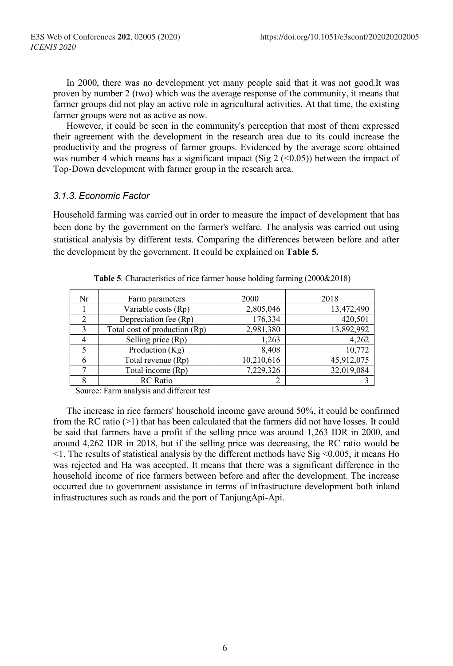In 2000, there was no development yet many people said that it was not good.It was proven by number 2 (two) which was the average response of the community, it means that farmer groups did not play an active role in agricultural activities. At that time, the existing farmer groups were not as active as now.

However, it could be seen in the community's perception that most of them expressed their agreement with the development in the research area due to its could increase the productivity and the progress of farmer groups. Evidenced by the average score obtained was number 4 which means has a significant impact (Sig  $2 \times (0.05)$ ) between the impact of Top-Down development with farmer group in the research area.

#### *3.1.3. Economic Factor*

Household farming was carried out in order to measure the impact of development that has been done by the government on the farmer's welfare. The analysis was carried out using statistical analysis by different tests. Comparing the differences between before and after the development by the government. It could be explained on **Table 5.**

| Nr           | Farm parameters               | 2000       | 2018       |
|--------------|-------------------------------|------------|------------|
|              | Variable costs (Rp)           | 2,805,046  | 13,472,490 |
|              | Depreciation fee (Rp)         | 176,334    | 420,501    |
| $\mathbf{3}$ | Total cost of production (Rp) | 2,981,380  | 13,892,992 |
|              | Selling price (Rp)            | 1,263      | 4,262      |
|              | Production $(Kg)$             | 8,408      | 10,772     |
|              | Total revenue (Rp)            | 10,210,616 | 45,912,075 |
|              | Total income (Rp)             | 7,229,326  | 32,019,084 |
|              | <b>RC</b> Ratio               |            |            |

**Table 5**. Characteristics of rice farmer house holding farming (2000&2018)

Source: Farm analysis and different test

The increase in rice farmers' household income gave around 50%, it could be confirmed from the RC ratio (>1) that has been calculated that the farmers did not have losses. It could be said that farmers have a profit if the selling price was around 1,263 IDR in 2000, and around 4,262 IDR in 2018, but if the selling price was decreasing, the RC ratio would be <1. The results of statistical analysis by the different methods have Sig <0.005, it means Ho was rejected and Ha was accepted. It means that there was a significant difference in the household income of rice farmers between before and after the development. The increase occurred due to government assistance in terms of infrastructure development both inland infrastructures such as roads and the port of TanjungApi-Api.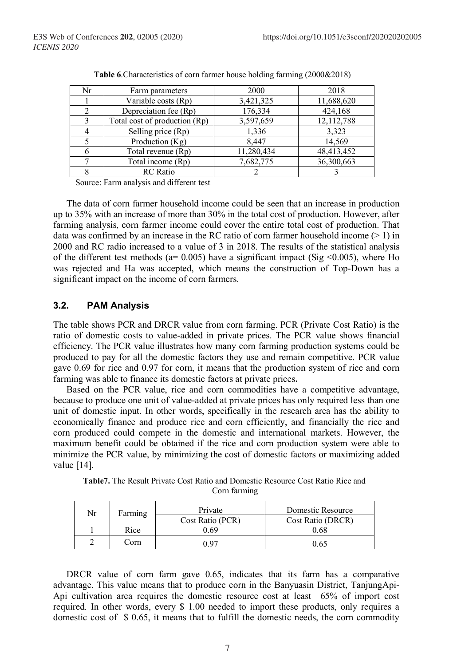| Nr | Farm parameters               | 2000       | 2018       |
|----|-------------------------------|------------|------------|
|    | Variable costs (Rp)           | 3,421,325  | 11,688,620 |
|    | Depreciation fee (Rp)         | 176,334    | 424,168    |
| 3  | Total cost of production (Rp) | 3,597,659  | 12,112,788 |
|    | Selling price (Rp)            | 1,336      | 3,323      |
|    | Production $(Kg)$             | 8.447      | 14,569     |
|    | Total revenue (Rp)            | 11,280,434 | 48,413,452 |
|    | Total income (Rp)             | 7,682,775  | 36,300,663 |
|    | <b>RC</b> Ratio               |            |            |

Source: Farm analysis and different test

The data of corn farmer household income could be seen that an increase in production up to 35% with an increase of more than 30% in the total cost of production. However, after farming analysis, corn farmer income could cover the entire total cost of production. That data was confirmed by an increase in the RC ratio of corn farmer household income  $(>1)$  in 2000 and RC radio increased to a value of 3 in 2018. The results of the statistical analysis of the different test methods ( $a= 0.005$ ) have a significant impact (Sig <0.005), where Ho was rejected and Ha was accepted, which means the construction of Top-Down has a significant impact on the income of corn farmers.

## **3.2. PAM Analysis**

The table shows PCR and DRCR value from corn farming. PCR (Private Cost Ratio) is the ratio of domestic costs to value-added in private prices. The PCR value shows financial efficiency. The PCR value illustrates how many corn farming production systems could be produced to pay for all the domestic factors they use and remain competitive. PCR value gave 0.69 for rice and 0.97 for corn, it means that the production system of rice and corn farming was able to finance its domestic factors at private prices**.**

Based on the PCR value, rice and corn commodities have a competitive advantage, because to produce one unit of value-added at private prices has only required less than one unit of domestic input. In other words, specifically in the research area has the ability to economically finance and produce rice and corn efficiently, and financially the rice and corn produced could compete in the domestic and international markets. However, the maximum benefit could be obtained if the rice and corn production system were able to minimize the PCR value, by minimizing the cost of domestic factors or maximizing added value [14].

| Nr | Farming | Private          | Domestic Resource |
|----|---------|------------------|-------------------|
|    |         | Cost Ratio (PCR) | Cost Ratio (DRCR) |
|    | Rice    | 0 69             | 0 68              |
|    | Corn    | ነ ዓ7             | 0.65              |

**Table7.** The Result Private Cost Ratio and Domestic Resource Cost Ratio Rice and Corn farming

DRCR value of corn farm gave 0.65, indicates that its farm has a comparative advantage. This value means that to produce corn in the Banyuasin District, TanjungApi-Api cultivation area requires the domestic resource cost at least 65% of import cost required. In other words, every \$ 1.00 needed to import these products, only requires a domestic cost of \$ 0.65, it means that to fulfill the domestic needs, the corn commodity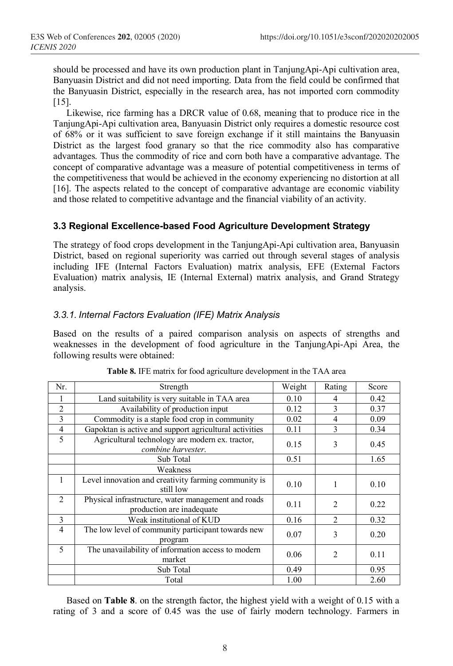should be processed and have its own production plant in TanjungApi-Api cultivation area, Banyuasin District and did not need importing. Data from the field could be confirmed that the Banyuasin District, especially in the research area, has not imported corn commodity [15].

Likewise, rice farming has a DRCR value of 0.68, meaning that to produce rice in the TanjungApi-Api cultivation area, Banyuasin District only requires a domestic resource cost of 68% or it was sufficient to save foreign exchange if it still maintains the Banyuasin District as the largest food granary so that the rice commodity also has comparative advantages. Thus the commodity of rice and corn both have a comparative advantage. The concept of comparative advantage was a measure of potential competitiveness in terms of the competitiveness that would be achieved in the economy experiencing no distortion at all [16]. The aspects related to the concept of comparative advantage are economic viability and those related to competitive advantage and the financial viability of an activity.

## **3.3 Regional Excellence-based Food Agriculture Development Strategy**

The strategy of food crops development in the TanjungApi-Api cultivation area, Banyuasin District, based on regional superiority was carried out through several stages of analysis including IFE (Internal Factors Evaluation) matrix analysis, EFE (External Factors Evaluation) matrix analysis, IE (Internal External) matrix analysis, and Grand Strategy analysis.

# *3.3.1. Internal Factors Evaluation (IFE) Matrix Analysis*

Based on the results of a paired comparison analysis on aspects of strengths and weaknesses in the development of food agriculture in the TanjungApi-Api Area, the following results were obtained:

| Nr.            | Strength                                                                         | Weight | Rating         | Score |
|----------------|----------------------------------------------------------------------------------|--------|----------------|-------|
|                | Land suitability is very suitable in TAA area                                    | 0.10   | 4              | 0.42  |
| $\overline{2}$ | Availability of production input                                                 | 0.12   | 3              | 0.37  |
| 3              | Commodity is a staple food crop in community                                     | 0.02   | 4              | 0.09  |
| $\overline{4}$ | Gapoktan is active and support agricultural activities                           | 0.11   | $\mathcal{E}$  | 0.34  |
| 5              | Agricultural technology are modern ex. tractor,<br>combine harvester.            | 0.15   | 3              | 0.45  |
|                | Sub Total                                                                        | 0.51   |                | 1.65  |
|                | Weakness                                                                         |        |                |       |
| 1              | Level innovation and creativity farming community is<br>still low                | 0.10   | 1              | 0.10  |
| $\overline{2}$ | Physical infrastructure, water management and roads<br>production are inadequate | 0.11   | $\mathfrak{D}$ | 0.22  |
| $\mathcal{E}$  | Weak institutional of KUD                                                        | 0.16   | $\mathfrak{D}$ | 0.32  |
| $\overline{4}$ | The low level of community participant towards new<br>program                    | 0.07   | 3              | 0.20  |
| 5              | The unavailability of information access to modern<br>market                     | 0.06   | $\mathfrak{D}$ | 0.11  |
|                | Sub Total                                                                        | 0.49   |                | 0.95  |
|                | Total                                                                            | 1.00   |                | 2.60  |

|  |  | Table 8. IFE matrix for food agriculture development in the TAA area |
|--|--|----------------------------------------------------------------------|
|--|--|----------------------------------------------------------------------|

Based on **Table 8**. on the strength factor, the highest yield with a weight of 0.15 with a rating of 3 and a score of 0.45 was the use of fairly modern technology. Farmers in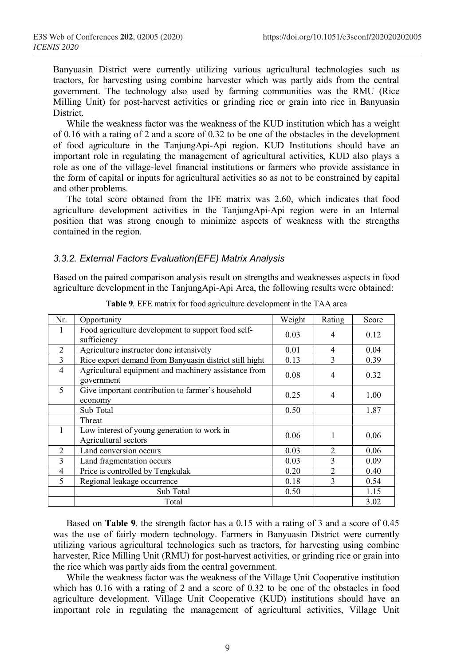Banyuasin District were currently utilizing various agricultural technologies such as tractors, for harvesting using combine harvester which was partly aids from the central government. The technology also used by farming communities was the RMU (Rice Milling Unit) for post-harvest activities or grinding rice or grain into rice in Banyuasin District.

While the weakness factor was the weakness of the KUD institution which has a weight of 0.16 with a rating of 2 and a score of 0.32 to be one of the obstacles in the development of food agriculture in the TanjungApi-Api region. KUD Institutions should have an important role in regulating the management of agricultural activities, KUD also plays a role as one of the village-level financial institutions or farmers who provide assistance in the form of capital or inputs for agricultural activities so as not to be constrained by capital and other problems.

The total score obtained from the IFE matrix was 2.60, which indicates that food agriculture development activities in the TanjungApi-Api region were in an Internal position that was strong enough to minimize aspects of weakness with the strengths contained in the region.

#### *3.3.2. External Factors Evaluation(EFE) Matrix Analysis*

Based on the paired comparison analysis result on strengths and weaknesses aspects in food agriculture development in the TanjungApi-Api Area, the following results were obtained:

| Nr.            | Opportunity                                                         | Weight | Rating         | Score |
|----------------|---------------------------------------------------------------------|--------|----------------|-------|
| 1              | Food agriculture development to support food self-<br>sufficiency   | 0.03   | 4              | 0.12  |
| $\mathfrak{D}$ | Agriculture instructor done intensively                             | 0.01   | $\overline{4}$ | 0.04  |
| 3              | Rice export demand from Banyuasin district still hight              | 0.13   | 3              | 0.39  |
| $\overline{4}$ | Agricultural equipment and machinery assistance from<br>government  | 0.08   | $\overline{4}$ | 0.32  |
| 5              | Give important contribution to farmer's household<br>economy        | 0.25   | $\overline{4}$ | 1.00  |
|                | Sub Total                                                           | 0.50   |                | 1.87  |
|                | Threat                                                              |        |                |       |
|                | Low interest of young generation to work in<br>Agricultural sectors | 0.06   |                | 0.06  |
| $\mathfrak{D}$ | Land conversion occurs                                              | 0.03   | $\mathfrak{D}$ | 0.06  |
| 3              | Land fragmentation occurs                                           | 0.03   | 3              | 0.09  |
| 4              | Price is controlled by Tengkulak                                    | 0.20   | $\mathfrak{D}$ | 0.40  |
| 5              | Regional leakage occurrence                                         | 0.18   | $\mathcal{E}$  | 0.54  |
|                | Sub Total                                                           | 0.50   |                | 1.15  |
|                | Total                                                               |        |                | 3.02  |

**Table 9**. EFE matrix for food agriculture development in the TAA area

Based on **Table 9**. the strength factor has a 0.15 with a rating of 3 and a score of 0.45 was the use of fairly modern technology. Farmers in Banyuasin District were currently utilizing various agricultural technologies such as tractors, for harvesting using combine harvester, Rice Milling Unit (RMU) for post-harvest activities, or grinding rice or grain into the rice which was partly aids from the central government.

While the weakness factor was the weakness of the Village Unit Cooperative institution which has 0.16 with a rating of 2 and a score of 0.32 to be one of the obstacles in food agriculture development. Village Unit Cooperative (KUD) institutions should have an important role in regulating the management of agricultural activities, Village Unit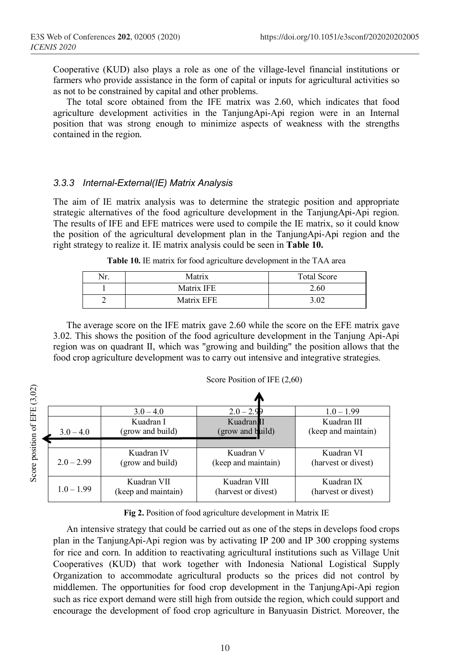Cooperative (KUD) also plays a role as one of the village-level financial institutions or farmers who provide assistance in the form of capital or inputs for agricultural activities so as not to be constrained by capital and other problems.

The total score obtained from the IFE matrix was 2.60, which indicates that food agriculture development activities in the TanjungApi-Api region were in an Internal position that was strong enough to minimize aspects of weakness with the strengths contained in the region.

### *3.3.3 Internal-External(IE) Matrix Analysis*

The aim of IE matrix analysis was to determine the strategic position and appropriate strategic alternatives of the food agriculture development in the TanjungApi-Api region. The results of IFE and EFE matrices were used to compile the IE matrix, so it could know the position of the agricultural development plan in the TanjungApi-Api region and the right strategy to realize it. IE matrix analysis could be seen in **Table 10.**

| Matrix     | <b>Total Score</b> |
|------------|--------------------|
| Matrix IFE | 2.60               |
| Matrix EFE | 3.02               |

**Table 10.** IE matrix for food agriculture development in the TAA area

The average score on the IFE matrix gave 2.60 while the score on the EFE matrix gave 3.02. This shows the position of the food agriculture development in the Tanjung Api-Api region was on quadrant II, which was "growing and building" the position allows that the food crop agriculture development was to carry out intensive and integrative strategies.

|              |                     | Л                   |                     |
|--------------|---------------------|---------------------|---------------------|
|              | $3.0 - 4.0$         | $2.0 - 2.99$        | $1.0 - 1.99$        |
| $3.0 - 4.0$  | Kuadran I           | Kuadran II          | Kuadran III         |
|              | (grow and build)    | (grow and build)    | (keep and maintain) |
|              |                     |                     |                     |
| $2.0 - 2.99$ | Kuadran IV          | Kuadran V           | Kuadran VI          |
|              | (grow and build)    | (keep and maintain) | (harvest or divest) |
| $1.0 - 1.99$ | Kuadran VII         | Kuadran VIII        | Kuadran IX          |
|              | (keep and maintain) | (harvest or divest) | (harvest or divest) |

Score Position of IFE (2,60)

**Fig 2.** Position of food agriculture development in Matrix IE

An intensive strategy that could be carried out as one of the steps in develops food crops plan in the TanjungApi-Api region was by activating IP 200 and IP 300 cropping systems for rice and corn. In addition to reactivating agricultural institutions such as Village Unit Cooperatives (KUD) that work together with Indonesia National Logistical Supply Organization to accommodate agricultural products so the prices did not control by middlemen. The opportunities for food crop development in the TanjungApi-Api region such as rice export demand were still high from outside the region, which could support and encourage the development of food crop agriculture in Banyuasin District. Moreover, the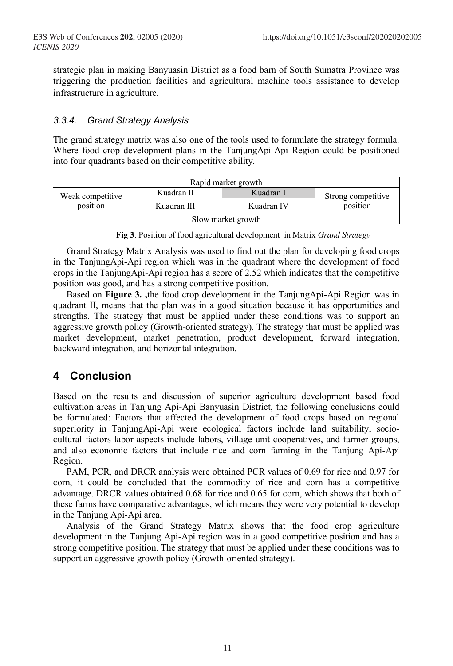strategic plan in making Banyuasin District as a food barn of South Sumatra Province was triggering the production facilities and agricultural machine tools assistance to develop infrastructure in agriculture.

# *3.3.4. Grand Strategy Analysis*

The grand strategy matrix was also one of the tools used to formulate the strategy formula. Where food crop development plans in the TanjungApi-Api Region could be positioned into four quadrants based on their competitive ability.

| Rapid market growth          |             |            |                    |  |  |  |
|------------------------------|-------------|------------|--------------------|--|--|--|
| Weak competitive<br>position | Kuadran II  | Kuadran I  | Strong competitive |  |  |  |
|                              | Kuadran III | Kuadran IV | position           |  |  |  |
| Slow market growth           |             |            |                    |  |  |  |

|  |  |  |  | Fig 3. Position of food agricultural development in Matrix Grand Strategy |  |  |  |
|--|--|--|--|---------------------------------------------------------------------------|--|--|--|
|--|--|--|--|---------------------------------------------------------------------------|--|--|--|

Grand Strategy Matrix Analysis was used to find out the plan for developing food crops in the TanjungApi-Api region which was in the quadrant where the development of food crops in the TanjungApi-Api region has a score of 2.52 which indicates that the competitive position was good, and has a strong competitive position.

Based on **Figure 3. ,**the food crop development in the TanjungApi-Api Region was in quadrant II, means that the plan was in a good situation because it has opportunities and strengths. The strategy that must be applied under these conditions was to support an aggressive growth policy (Growth-oriented strategy). The strategy that must be applied was market development, market penetration, product development, forward integration, backward integration, and horizontal integration.

# **4 Conclusion**

Based on the results and discussion of superior agriculture development based food cultivation areas in Tanjung Api-Api Banyuasin District, the following conclusions could be formulated: Factors that affected the development of food crops based on regional superiority in TanjungApi-Api were ecological factors include land suitability, sociocultural factors labor aspects include labors, village unit cooperatives, and farmer groups, and also economic factors that include rice and corn farming in the Tanjung Api-Api Region.

PAM, PCR, and DRCR analysis were obtained PCR values of 0.69 for rice and 0.97 for corn, it could be concluded that the commodity of rice and corn has a competitive advantage. DRCR values obtained 0.68 for rice and 0.65 for corn, which shows that both of these farms have comparative advantages, which means they were very potential to develop in the Tanjung Api-Api area.

Analysis of the Grand Strategy Matrix shows that the food crop agriculture development in the Tanjung Api-Api region was in a good competitive position and has a strong competitive position. The strategy that must be applied under these conditions was to support an aggressive growth policy (Growth-oriented strategy).